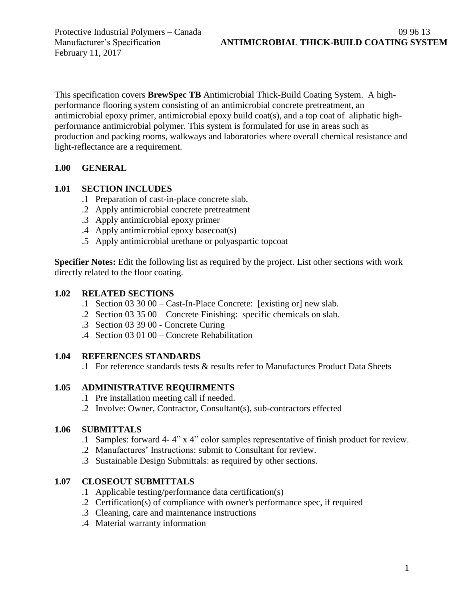This specification covers **BrewSpec TB** Antimicrobial Thick-Build Coating System. A highperformance flooring system consisting of an antimicrobial concrete pretreatment, an antimicrobial epoxy primer, antimicrobial epoxy build coat(s), and a top coat of aliphatic highperformance antimicrobial polymer. This system is formulated for use in areas such as production and packing rooms, walkways and laboratories where overall chemical resistance and light-reflectance are a requirement.

### **1.00 GENERAL**

#### **1.01 SECTION INCLUDES**

- .1 Preparation of cast-in-place concrete slab.
- .2 Apply antimicrobial concrete pretreatment
- .3 Apply antimicrobial epoxy primer
- .4 Apply antimicrobial epoxy basecoat(s)
- .5 Apply antimicrobial urethane or polyaspartic topcoat

**Specifier Notes:** Edit the following list as required by the project. List other sections with work directly related to the floor coating.

### **1.02 RELATED SECTIONS**

- .1 Section 03 30 00 Cast-In-Place Concrete: [existing or] new slab.
- .2 Section 03 35 00 Concrete Finishing: specific chemicals on slab.
- .3 Section 03 39 00 Concrete Curing
- .4 Section 03 01 00 Concrete Rehabilitation

#### **1.04 REFERENCES STANDARDS**

.1 For reference standards tests & results refer to Manufactures Product Data Sheets

### **1.05 ADMINISTRATIVE REQUIRMENTS**

- .1 Pre installation meeting call if needed.
- .2 Involve: Owner, Contractor, Consultant(s), sub-contractors effected

#### **1.06 SUBMITTALS**

- .1 Samples: forward 4- 4" x 4" color samples representative of finish product for review.
- .2 Manufactures' Instructions: submit to Consultant for review.
- .3 Sustainable Design Submittals: as required by other sections.

### **1.07 CLOSEOUT SUBMITTALS**

- .1 Applicable testing/performance data certification(s)
- .2 Certification(s) of compliance with owner's performance spec, if required
- .3 Cleaning, care and maintenance instructions
- .4 Material warranty information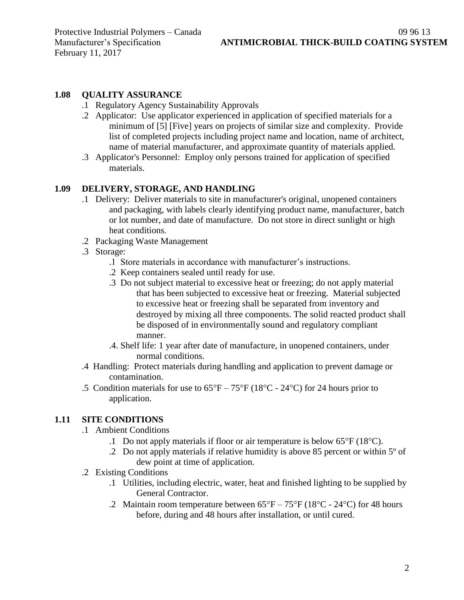#### **1.08 QUALITY ASSURANCE**

- .1 Regulatory Agency Sustainability Approvals
- .2 Applicator: Use applicator experienced in application of specified materials for a minimum of [5] [Five] years on projects of similar size and complexity. Provide list of completed projects including project name and location, name of architect, name of material manufacturer, and approximate quantity of materials applied.
- .3 Applicator's Personnel: Employ only persons trained for application of specified materials.

### **1.09 DELIVERY, STORAGE, AND HANDLING**

- .1 Delivery: Deliver materials to site in manufacturer's original, unopened containers and packaging, with labels clearly identifying product name, manufacturer, batch or lot number, and date of manufacture. Do not store in direct sunlight or high heat conditions.
- .2 Packaging Waste Management
- .3 Storage:
	- .1 Store materials in accordance with manufacturer's instructions.
	- .2 Keep containers sealed until ready for use.
	- .3 Do not subject material to excessive heat or freezing; do not apply material that has been subjected to excessive heat or freezing. Material subjected to excessive heat or freezing shall be separated from inventory and destroyed by mixing all three components. The solid reacted product shall be disposed of in environmentally sound and regulatory compliant manner.
	- .4. Shelf life: 1 year after date of manufacture, in unopened containers, under normal conditions.
- .4 Handling: Protect materials during handling and application to prevent damage or contamination.
- .5 Condition materials for use to  $65^{\circ}F 75^{\circ}F (18^{\circ}C 24^{\circ}C)$  for 24 hours prior to application.

### **1.11 SITE CONDITIONS**

- .1 Ambient Conditions
	- .1 Do not apply materials if floor or air temperature is below  $65^{\circ}F(18^{\circ}C)$ .
	- .2 Do not apply materials if relative humidity is above 85 percent or within 5º of dew point at time of application.
- .2 Existing Conditions
	- .1 Utilities, including electric, water, heat and finished lighting to be supplied by General Contractor.
	- .2 Maintain room temperature between  $65^{\circ}F 75^{\circ}F (18^{\circ}C 24^{\circ}C)$  for 48 hours before, during and 48 hours after installation, or until cured.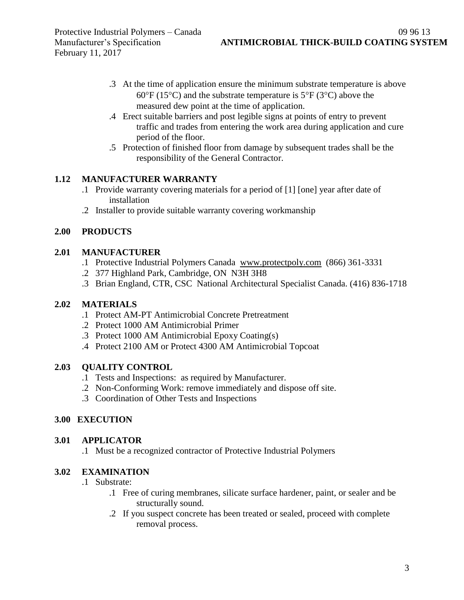- .3 At the time of application ensure the minimum substrate temperature is above  $60^{\circ}F (15^{\circ}C)$  and the substrate temperature is  $5^{\circ}F (3^{\circ}C)$  above the measured dew point at the time of application.
- .4 Erect suitable barriers and post legible signs at points of entry to prevent traffic and trades from entering the work area during application and cure period of the floor.
- .5 Protection of finished floor from damage by subsequent trades shall be the responsibility of the General Contractor.

## **1.12 MANUFACTURER WARRANTY**

- .1 Provide warranty covering materials for a period of [1] [one] year after date of installation
- .2 Installer to provide suitable warranty covering workmanship

## **2.00 PRODUCTS**

### **2.01 MANUFACTURER**

- .1 Protective Industrial Polymers Canada [www.protectpoly.com](http://www.protectpoly.com/) (866) 361-3331
- .2 377 Highland Park, Cambridge, ON N3H 3H8
- .3 Brian England, CTR, CSC National Architectural Specialist Canada. (416) 836-1718

## **2.02 MATERIALS**

- .1 Protect AM-PT Antimicrobial Concrete Pretreatment
- .2 Protect 1000 AM Antimicrobial Primer
- .3 Protect 1000 AM Antimicrobial Epoxy Coating(s)
- .4 Protect 2100 AM or Protect 4300 AM Antimicrobial Topcoat

## **2.03 QUALITY CONTROL**

- .1 Tests and Inspections: as required by Manufacturer.
- .2 Non-Conforming Work: remove immediately and dispose off site.
- .3 Coordination of Other Tests and Inspections

## **3.00 EXECUTION**

### **3.01 APPLICATOR**

.1 Must be a recognized contractor of Protective Industrial Polymers

# **3.02 EXAMINATION**

- .1 Substrate:
	- .1 Free of curing membranes, silicate surface hardener, paint, or sealer and be structurally sound.
	- .2 If you suspect concrete has been treated or sealed, proceed with complete removal process.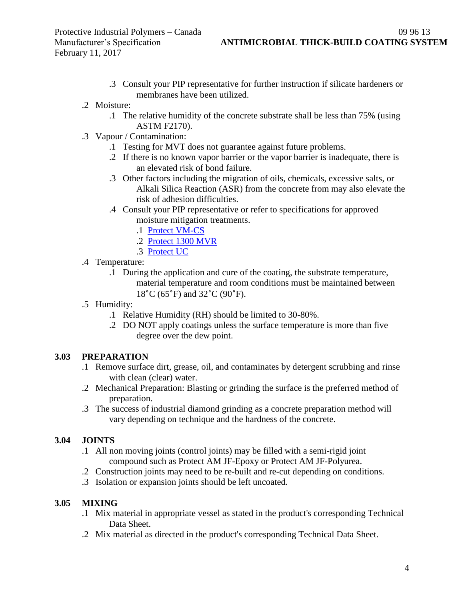- .3 Consult your PIP representative for further instruction if silicate hardeners or membranes have been utilized.
- .2 Moisture:
	- .1 The relative humidity of the concrete substrate shall be less than 75% (using ASTM F2170).
- .3 Vapour / Contamination:
	- .1 Testing for MVT does not guarantee against future problems.
	- .2 If there is no known vapor barrier or the vapor barrier is inadequate, there is an elevated risk of bond failure.
	- .3 Other factors including the migration of oils, chemicals, excessive salts, or Alkali Silica Reaction (ASR) from the concrete from may also elevate the risk of adhesion difficulties.
	- .4 Consult your PIP representative or refer to specifications for approved moisture mitigation treatments.
		- .1 [Protect VM-CS](http://www.protectiveindustrialpolymers.com/Upload/Canadian%20Specs/Moisture%20Mitigation%20Spec%20-%20VM-CS%20(CANADIAN).pdf)
		- .2 [Protect 1300 MVR](http://www.protectiveindustrialpolymers.com/Upload/Canadian%20Specs/Moisture%20Mitigation%20Spec%20-%201300MVR%20(CANADIAN).pdf)
		- .3 [Protect UC](http://www.protectiveindustrialpolymers.com/Upload/Canadian%20Specs/Moisture%20Mitigation%20Spec%20-%20UC%20(CANADIAN).pdf)
- .4 Temperature:
	- .1 During the application and cure of the coating, the substrate temperature, material temperature and room conditions must be maintained between 18˚C (65˚F) and 32˚C (90˚F).
- .5 Humidity:
	- .1 Relative Humidity (RH) should be limited to 30-80%.
	- .2 DO NOT apply coatings unless the surface temperature is more than five degree over the dew point.

### **3.03 PREPARATION**

- .1 Remove surface dirt, grease, oil, and contaminates by detergent scrubbing and rinse with clean (clear) water.
- .2 Mechanical Preparation: Blasting or grinding the surface is the preferred method of preparation.
- .3 The success of industrial diamond grinding as a concrete preparation method will vary depending on technique and the hardness of the concrete.

### **3.04 JOINTS**

- .1 All non moving joints (control joints) may be filled with a semi-rigid joint compound such as Protect AM JF-Epoxy or Protect AM JF-Polyurea.
- .2 Construction joints may need to be re-built and re-cut depending on conditions.
- .3 Isolation or expansion joints should be left uncoated.

#### **3.05 MIXING**

- .1 Mix material in appropriate vessel as stated in the product's corresponding Technical Data Sheet.
- .2 Mix material as directed in the product's corresponding Technical Data Sheet.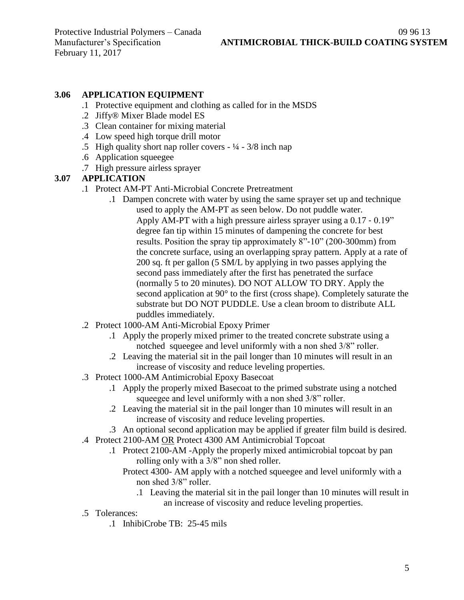### **3.06 APPLICATION EQUIPMENT**

- .1 Protective equipment and clothing as called for in the MSDS
- .2 Jiffy® Mixer Blade model ES
- .3 Clean container for mixing material
- .4 Low speed high torque drill motor
- .5 High quality short nap roller covers  $\frac{1}{4} \frac{3}{8}$  inch nap
- .6 Application squeegee
- .7 High pressure airless sprayer

### **3.07 APPLICATION**

- .1 Protect AM-PT Anti-Microbial Concrete Pretreatment
	- .1 Dampen concrete with water by using the same sprayer set up and technique used to apply the AM-PT as seen below. Do not puddle water. Apply AM-PT with a high pressure airless sprayer using a 0.17 ‐ 0.19" degree fan tip within 15 minutes of dampening the concrete for best results. Position the spray tip approximately 8"‐10" (200‐300mm) from the concrete surface, using an overlapping spray pattern. Apply at a rate of 200 sq. ft per gallon (5 SM/L by applying in two passes applying the second pass immediately after the first has penetrated the surface (normally 5 to 20 minutes). DO NOT ALLOW TO DRY. Apply the second application at 90° to the first (cross shape). Completely saturate the substrate but DO NOT PUDDLE. Use a clean broom to distribute ALL puddles immediately.
- .2 Protect 1000-AM Anti-Microbial Epoxy Primer
	- .1 Apply the properly mixed primer to the treated concrete substrate using a notched squeegee and level uniformly with a non shed 3/8" roller.
	- .2 Leaving the material sit in the pail longer than 10 minutes will result in an increase of viscosity and reduce leveling properties.
- .3 Protect 1000-AM Antimicrobial Epoxy Basecoat
	- .1 Apply the properly mixed Basecoat to the primed substrate using a notched squeegee and level uniformly with a non shed 3/8" roller.
	- .2 Leaving the material sit in the pail longer than 10 minutes will result in an increase of viscosity and reduce leveling properties.
	- .3 An optional second application may be applied if greater film build is desired.
- .4 Protect 2100-AM OR Protect 4300 AM Antimicrobial Topcoat
	- .1 Protect 2100-AM -Apply the properly mixed antimicrobial topcoat by pan rolling only with a 3/8" non shed roller.
		- Protect 4300- AM apply with a notched squeegee and level uniformly with a non shed 3/8" roller.
			- .1 Leaving the material sit in the pail longer than 10 minutes will result in an increase of viscosity and reduce leveling properties.
- .5 Tolerances:
	- .1 InhibiCrobe TB: 25-45 mils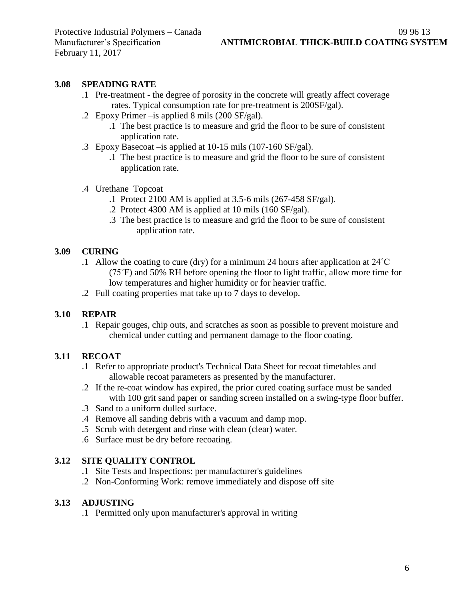### **3.08 SPEADING RATE**

- .1 Pre-treatment the degree of porosity in the concrete will greatly affect coverage rates. Typical consumption rate for pre-treatment is 200SF/gal).
- .2 Epoxy Primer –is applied 8 mils (200 SF/gal).
	- .1 The best practice is to measure and grid the floor to be sure of consistent application rate.
- .3 Epoxy Basecoat –is applied at 10-15 mils (107-160 SF/gal).
	- .1 The best practice is to measure and grid the floor to be sure of consistent application rate.
- .4 Urethane Topcoat
	- .1 Protect 2100 AM is applied at 3.5-6 mils (267-458 SF/gal).
	- .2 Protect 4300 AM is applied at 10 mils (160 SF/gal).
	- .3 The best practice is to measure and grid the floor to be sure of consistent application rate.

### **3.09 CURING**

- .1 Allow the coating to cure (dry) for a minimum 24 hours after application at 24˚C (75˚F) and 50% RH before opening the floor to light traffic, allow more time for low temperatures and higher humidity or for heavier traffic.
- .2 Full coating properties mat take up to 7 days to develop.

### **3.10 REPAIR**

.1 Repair gouges, chip outs, and scratches as soon as possible to prevent moisture and chemical under cutting and permanent damage to the floor coating.

#### **3.11 RECOAT**

- .1 Refer to appropriate product's Technical Data Sheet for recoat timetables and allowable recoat parameters as presented by the manufacturer.
- .2 If the re-coat window has expired, the prior cured coating surface must be sanded with 100 grit sand paper or sanding screen installed on a swing-type floor buffer.
- .3 Sand to a uniform dulled surface.
- .4 Remove all sanding debris with a vacuum and damp mop.
- .5 Scrub with detergent and rinse with clean (clear) water.
- .6 Surface must be dry before recoating.

#### **3.12 SITE QUALITY CONTROL**

- .1 Site Tests and Inspections: per manufacturer's guidelines
- .2 Non-Conforming Work: remove immediately and dispose off site

#### **3.13 ADJUSTING**

.1 Permitted only upon manufacturer's approval in writing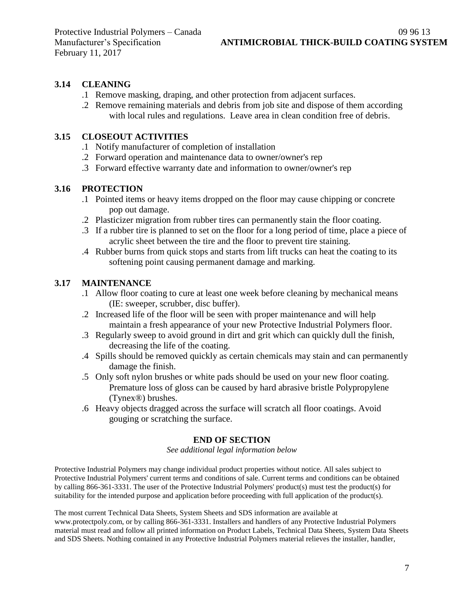### **3.14 CLEANING**

- .1 Remove masking, draping, and other protection from adjacent surfaces.
- .2 Remove remaining materials and debris from job site and dispose of them according with local rules and regulations. Leave area in clean condition free of debris.

#### **3.15 CLOSEOUT ACTIVITIES**

- .1 Notify manufacturer of completion of installation
- .2 Forward operation and maintenance data to owner/owner's rep
- .3 Forward effective warranty date and information to owner/owner's rep

#### **3.16 PROTECTION**

- .1 Pointed items or heavy items dropped on the floor may cause chipping or concrete pop out damage.
- .2 Plasticizer migration from rubber tires can permanently stain the floor coating.
- .3 If a rubber tire is planned to set on the floor for a long period of time, place a piece of acrylic sheet between the tire and the floor to prevent tire staining.
- .4 Rubber burns from quick stops and starts from lift trucks can heat the coating to its softening point causing permanent damage and marking.

#### **3.17 MAINTENANCE**

- .1 Allow floor coating to cure at least one week before cleaning by mechanical means (IE: sweeper, scrubber, disc buffer).
- .2 Increased life of the floor will be seen with proper maintenance and will help maintain a fresh appearance of your new Protective Industrial Polymers floor.
- .3 Regularly sweep to avoid ground in dirt and grit which can quickly dull the finish, decreasing the life of the coating.
- .4 Spills should be removed quickly as certain chemicals may stain and can permanently damage the finish.
- .5 Only soft nylon brushes or white pads should be used on your new floor coating. Premature loss of gloss can be caused by hard abrasive bristle Polypropylene (Tynex®) brushes.
- .6 Heavy objects dragged across the surface will scratch all floor coatings. Avoid gouging or scratching the surface.

#### **END OF SECTION**

*See additional legal information below*

Protective Industrial Polymers may change individual product properties without notice. All sales subject to Protective Industrial Polymers' current terms and conditions of sale. Current terms and conditions can be obtained by calling 866-361-3331. The user of the Protective Industrial Polymers' product(s) must test the product(s) for suitability for the intended purpose and application before proceeding with full application of the product(s).

The most current Technical Data Sheets, System Sheets and SDS information are available at www.protectpoly.com, or by calling 866-361-3331. Installers and handlers of any Protective Industrial Polymers material must read and follow all printed information on Product Labels, Technical Data Sheets, System Data Sheets and SDS Sheets. Nothing contained in any Protective Industrial Polymers material relieves the installer, handler,